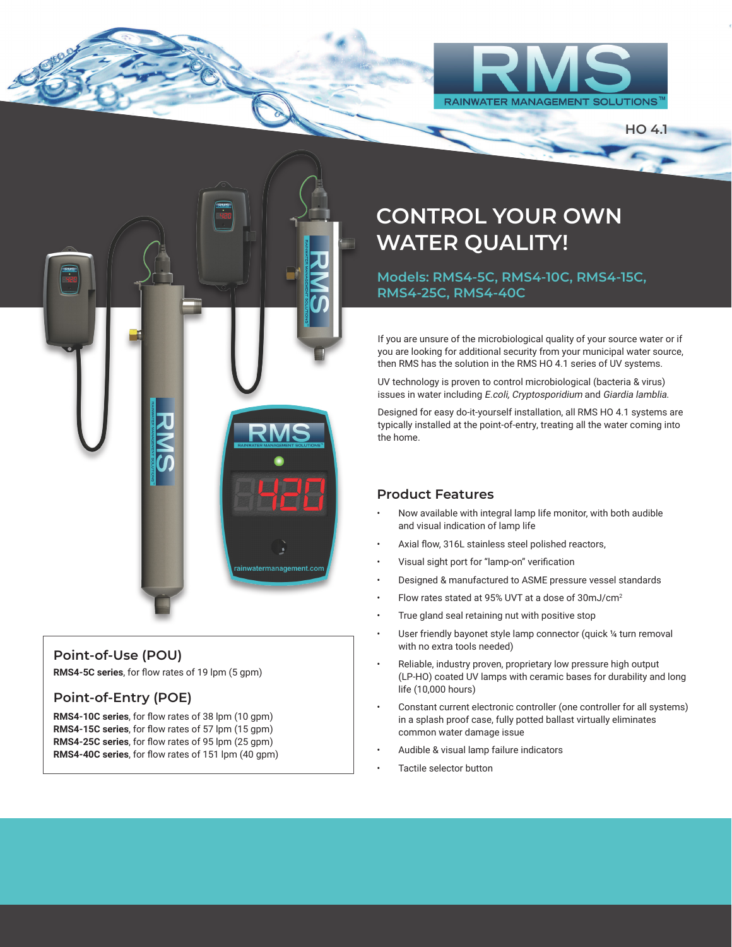

**HO 4.1**



#### **Point-of-Use (POU)**

**RMS4-5C series**, for flow rates of 19 lpm (5 gpm)

#### **Point-of-Entry (POE)**

**RMS4-10C series**, for flow rates of 38 lpm (10 gpm) **RMS4-15C series**, for flow rates of 57 lpm (15 gpm) **RMS4-25C series**, for flow rates of 95 lpm (25 gpm) **RMS4-40C series**, for flow rates of 151 lpm (40 gpm)

# **CONTROL YOUR OWN WATER QUALITY!**

**Models: RMS4-5C, RMS4-10C, RMS4-15C, RMS4-25C, RMS4-40C**

If you are unsure of the microbiological quality of your source water or if you are looking for additional security from your municipal water source, then RMS has the solution in the RMS HO 4.1 series of UV systems.

UV technology is proven to control microbiological (bacteria & virus) issues in water including E.coli, Cryptosporidium and Giardia lamblia.

Designed for easy do-it-yourself installation, all RMS HO 4.1 systems are typically installed at the point-of-entry, treating all the water coming into the home.

#### **Product Features**

- Now available with integral lamp life monitor, with both audible and visual indication of lamp life
- Axial flow, 316L stainless steel polished reactors,
- Visual sight port for "lamp-on" verification
- Designed & manufactured to ASME pressure vessel standards
- Flow rates stated at 95% UVT at a dose of 30mJ/cm<sup>2</sup>
- True gland seal retaining nut with positive stop
- User friendly bayonet style lamp connector (quick 1/4 turn removal with no extra tools needed)
- Reliable, industry proven, proprietary low pressure high output (LP-HO) coated UV lamps with ceramic bases for durability and long life (10,000 hours)
- Constant current electronic controller (one controller for all systems) in a splash proof case, fully potted ballast virtually eliminates common water damage issue
- Audible & visual lamp failure indicators
- Tactile selector button